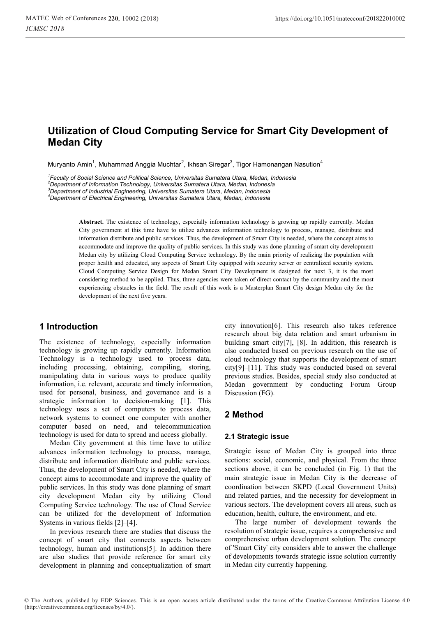# **Utilization of Cloud Computing Service for Smart City Development of Medan City**

Muryanto Amin<sup>1</sup>, Muhammad Anggia Muchtar<sup>2</sup>, Ikhsan Siregar<sup>3</sup>, Tigor Hamonangan Nasution<sup>4</sup>

*1 Faculty of Social Science and Political Science, Universitas Sumatera Utara, Medan, Indonesia* 

*2 Department of Information Technology, Universitas Sumatera Utara, Medan, Indonesia* 

*3 Department of Industrial Engineering, Universitas Sumatera Utara, Medan, Indonesia* 

*4 Department of Electrical Engineering, Universitas Sumatera Utara, Medan, Indonesia* 

**Abstract.** The existence of technology, especially information technology is growing up rapidly currently. Medan City government at this time have to utilize advances information technology to process, manage, distribute and information distribute and public services. Thus, the development of Smart City is needed, where the concept aims to accommodate and improve the quality of public services. In this study was done planning of smart city development Medan city by utilizing Cloud Computing Service technology. By the main priority of realizing the population with proper health and educated, any aspects of Smart City equipped with security server or centralized security system. Cloud Computing Service Design for Medan Smart City Development is designed for next 3, it is the most considering method to be applied. Thus, three agencies were taken of direct contact by the community and the most experiencing obstacles in the field. The result of this work is a Masterplan Smart City design Medan city for the development of the next five years.

### **1 Introduction**

The existence of technology, especially information technology is growing up rapidly currently. Information Technology is a technology used to process data, including processing, obtaining, compiling, storing, manipulating data in various ways to produce quality information, i.e. relevant, accurate and timely information, used for personal, business, and governance and is a strategic information to decision-making [1]. This technology uses a set of computers to process data, network systems to connect one computer with another computer based on need, and telecommunication technology is used for data to spread and access globally.

Medan City government at this time have to utilize advances information technology to process, manage, distribute and information distribute and public services. Thus, the development of Smart City is needed, where the concept aims to accommodate and improve the quality of public services. In this study was done planning of smart city development Medan city by utilizing Cloud Computing Service technology. The use of Cloud Service can be utilized for the development of Information Systems in various fields [2]–[4].

In previous research there are studies that discuss the concept of smart city that connects aspects between technology, human and institutions[5]. In addition there are also studies that provide reference for smart city development in planning and conceptualization of smart

city innovation[6]. This research also takes reference research about big data relation and smart urbanism in building smart city[7], [8]. In addition, this research is also conducted based on previous research on the use of cloud technology that supports the development of smart city[9]–[11]. This study was conducted based on several previous studies. Besides, special study also conducted at Medan government by conducting Forum Group Discussion (FG).

### **2 Method**

#### **2.1 Strategic issue**

Strategic issue of Medan City is grouped into three sections: social, economic, and physical. From the three sections above, it can be concluded (in Fig. 1) that the main strategic issue in Medan City is the decrease of coordination between SKPD (Local Government Units) and related parties, and the necessity for development in various sectors. The development covers all areas, such as education, health, culture, the environment, and etc.

The large number of development towards the resolution of strategic issue, requires a comprehensive and comprehensive urban development solution. The concept of 'Smart City' city considers able to answer the challenge of developments towards strategic issue solution currently in Medan city currently happening.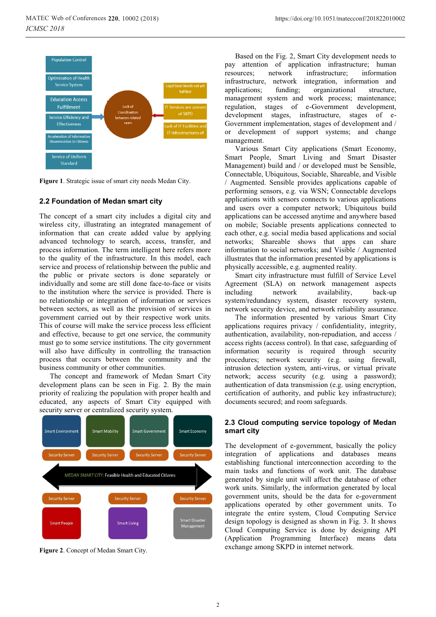

**Figure 1**. Strategic issue of smart city needs Medan City.

#### **2.2 Foundation of Medan smart city**

The concept of a smart city includes a digital city and wireless city, illustrating an integrated management of information that can create added value by applying advanced technology to search, access, transfer, and process information. The term intelligent here refers more to the quality of the infrastructure. In this model, each service and process of relationship between the public and the public or private sectors is done separately or individually and some are still done face-to-face or visits to the institution where the service is provided. There is no relationship or integration of information or services between sectors, as well as the provision of services in government carried out by their respective work units. This of course will make the service process less efficient and effective, because to get one service, the community must go to some service institutions. The city government will also have difficulty in controlling the transaction process that occurs between the community and the business community or other communities.

The concept and framework of Medan Smart City development plans can be seen in Fig. 2. By the main priority of realizing the population with proper health and educated, any aspects of Smart City equipped with security server or centralized security system.



**Figure 2**. Concept of Medan Smart City.

Based on the Fig. 2, Smart City development needs to pay attention of application infrastructure; human resources; network infrastructure; information infrastructure, network integration, information and applications; funding; organizational structure, management system and work process; maintenance; regulation, stages of e-Government development, development stages, infrastructure, stages of e-Government implementation, stages of development and / or development of support systems; and change management.

Various Smart City applications (Smart Economy, Smart People, Smart Living and Smart Disaster Management) build and / or developed must be Sensible, Connectable, Ubiquitous, Sociable, Shareable, and Visible / Augmented. Sensible provides applications capable of performing sensors, e.g. via WSN; Connectable develops applications with sensors connects to various applications and users over a computer network; Ubiquitous build applications can be accessed anytime and anywhere based on mobile; Sociable presents applications connected to each other, e.g. social media based applications and social networks; Shareable shows that apps can share information to social networks; and Visible / Augmented illustrates that the information presented by applications is physically accessible, e.g. augmented reality.

Smart city infrastructure must fulfill of Service Level Agreement (SLA) on network management aspects including network availability, back-up system/redundancy system, disaster recovery system, network security device, and network reliability assurance.

The information presented by various Smart City applications requires privacy / confidentiality, integrity, authentication, availability, non-repudiation, and access / access rights (access control). In that case, safeguarding of information security is required through security procedures; network security (e.g. using firewall, intrusion detection system, anti-virus, or virtual private network; access security (e.g. using a password); authentication of data transmission (e.g. using encryption, certification of authority, and public key infrastructure); documents secured; and room safeguards.

#### **2.3 Cloud computing service topology of Medan smart city**

The development of e-government, basically the policy integration of applications and databases means establishing functional interconnection according to the main tasks and functions of work unit. The database generated by single unit will affect the database of other work units. Similarly, the information generated by local government units, should be the data for e-government applications operated by other government units. To integrate the entire system, Cloud Computing Service design topology is designed as shown in Fig. 3. It shows Cloud Computing Service is done by designing API (Application Programming Interface) means data exchange among SKPD in internet network.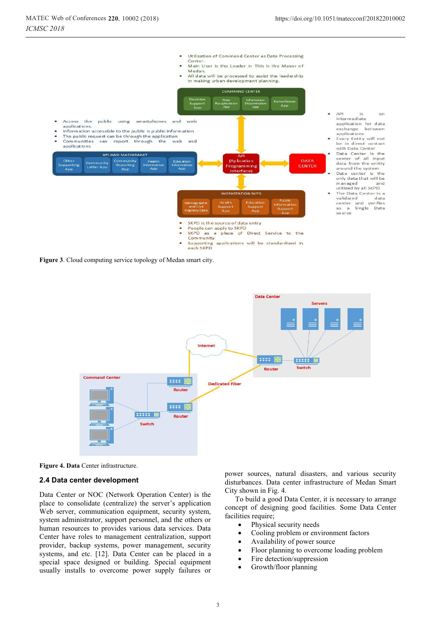$\sum_{n=1}^{\infty}$ 

data



**Figure 3**. Cloud computing service topology of Medan smart city.



**Figure 4. Data** Center infrastructure.

#### **2.4 Data center development**

Data Center or NOC (Network Operation Center) is the place to consolidate (centralize) the server's application Web server, communication equipment, security system, system administrator, support personnel, and the others or human resources to provides various data services. Data Center have roles to management centralization, support provider, backup systems, power management, security systems, and etc. [12]. Data Center can be placed in a special space designed or building. Special equipment usually installs to overcome power supply failures or

power sources, natural disasters, and various security disturbances. Data center infrastructure of Medan Smart City shown in Fig. 4.

To build a good Data Center, it is necessary to arrange concept of designing good facilities. Some Data Center facilities require;

- -Physical security needs
- $\bullet$ Cooling problem or environment factors
- $\bullet$ Availability of power source
- $\bullet$ Floor planning to overcome loading problem
- $\bullet$ Fire detection/suppression
- -Growth/floor planning